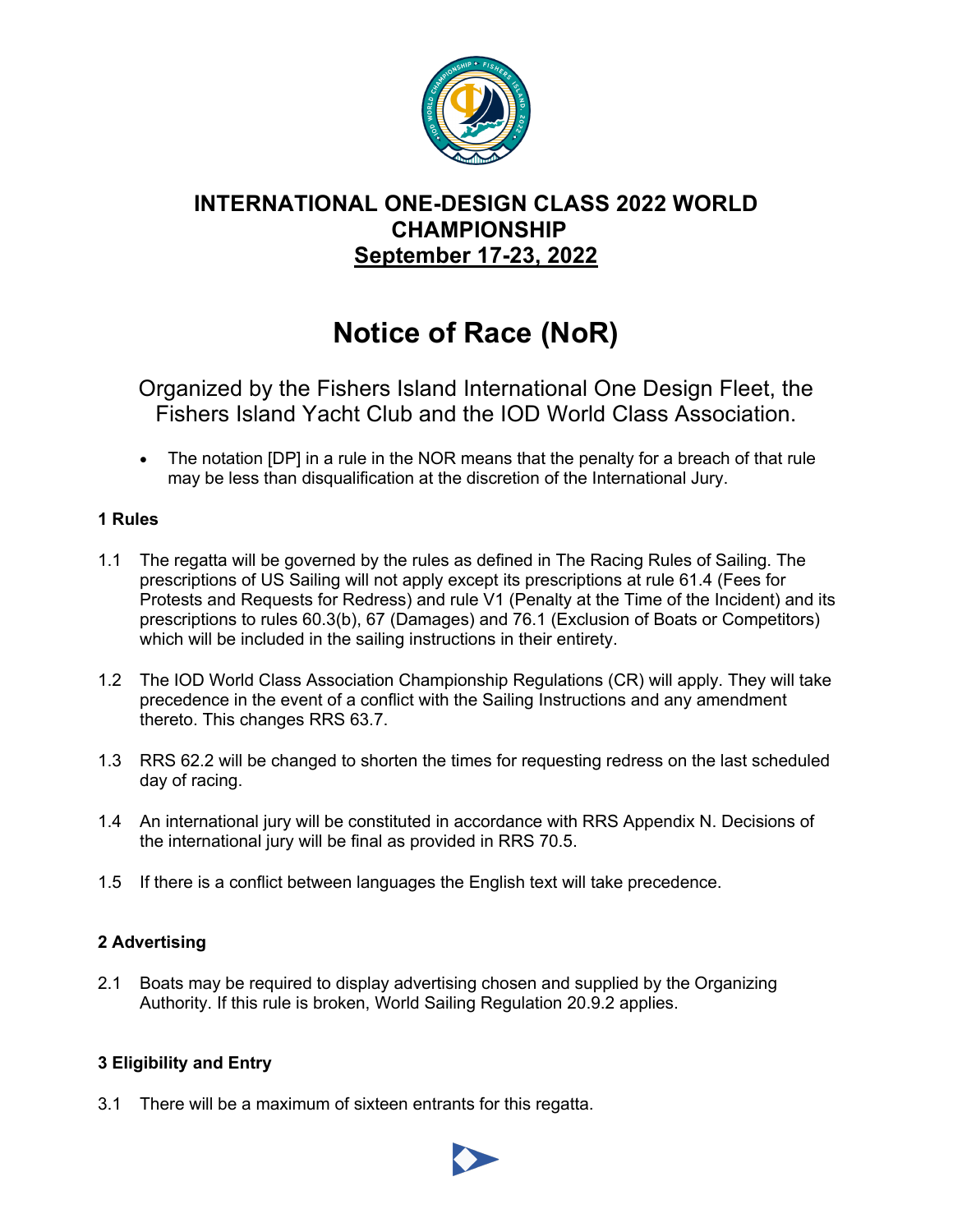

# **INTERNATIONAL ONE-DESIGN CLASS 2022 WORLD CHAMPIONSHIP September 17-23, 2022**

# **Notice of Race (NoR)**

Organized by the Fishers Island International One Design Fleet, the Fishers Island Yacht Club and the IOD World Class Association.

• The notation [DP] in a rule in the NOR means that the penalty for a breach of that rule may be less than disqualification at the discretion of the International Jury.

#### **1 Rules**

- 1.1 The regatta will be governed by the rules as defined in The Racing Rules of Sailing. The prescriptions of US Sailing will not apply except its prescriptions at rule 61.4 (Fees for Protests and Requests for Redress) and rule V1 (Penalty at the Time of the Incident) and its prescriptions to rules 60.3(b), 67 (Damages) and 76.1 (Exclusion of Boats or Competitors) which will be included in the sailing instructions in their entirety.
- 1.2 The IOD World Class Association Championship Regulations (CR) will apply. They will take precedence in the event of a conflict with the Sailing Instructions and any amendment thereto. This changes RRS 63.7.
- 1.3 RRS 62.2 will be changed to shorten the times for requesting redress on the last scheduled day of racing.
- 1.4 An international jury will be constituted in accordance with RRS Appendix N. Decisions of the international jury will be final as provided in RRS 70.5.
- 1.5 If there is a conflict between languages the English text will take precedence.

# **2 Advertising**

2.1 Boats may be required to display advertising chosen and supplied by the Organizing Authority. If this rule is broken, World Sailing Regulation 20.9.2 applies.

#### **3 Eligibility and Entry**

3.1 There will be a maximum of sixteen entrants for this regatta.

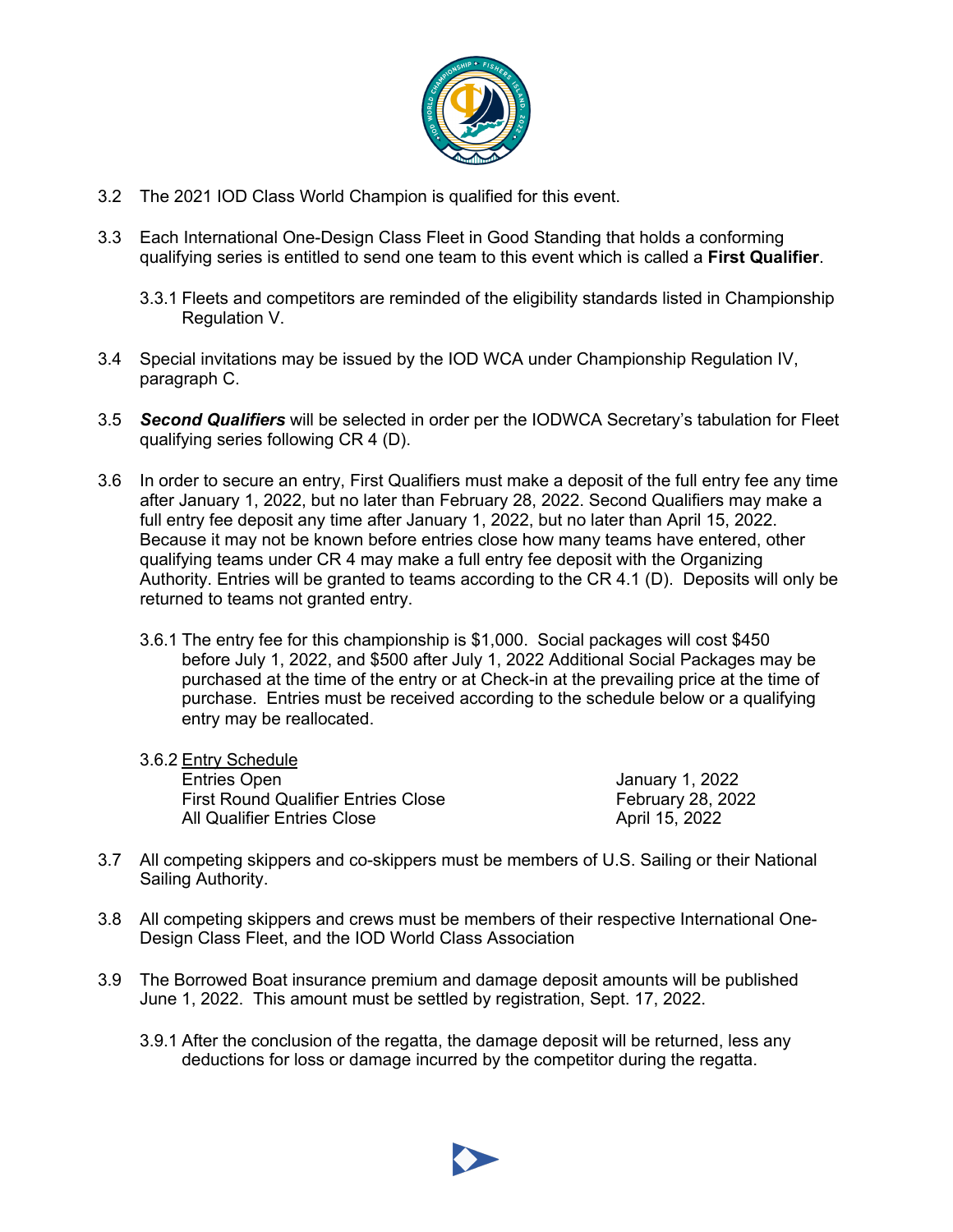

- 3.2 The 2021 IOD Class World Champion is qualified for this event.
- 3.3 Each International One-Design Class Fleet in Good Standing that holds a conforming qualifying series is entitled to send one team to this event which is called a **First Qualifier**.
	- 3.3.1 Fleets and competitors are reminded of the eligibility standards listed in Championship Regulation V.
- 3.4 Special invitations may be issued by the IOD WCA under Championship Regulation IV, paragraph C.
- 3.5 *Second Qualifiers* will be selected in order per the IODWCA Secretary's tabulation for Fleet qualifying series following CR 4 (D).
- 3.6 In order to secure an entry, First Qualifiers must make a deposit of the full entry fee any time after January 1, 2022, but no later than February 28, 2022. Second Qualifiers may make a full entry fee deposit any time after January 1, 2022, but no later than April 15, 2022. Because it may not be known before entries close how many teams have entered, other qualifying teams under CR 4 may make a full entry fee deposit with the Organizing Authority. Entries will be granted to teams according to the CR 4.1 (D). Deposits will only be returned to teams not granted entry.
	- 3.6.1 The entry fee for this championship is \$1,000. Social packages will cost \$450 before July 1, 2022, and \$500 after July 1, 2022 Additional Social Packages may be purchased at the time of the entry or at Check-in at the prevailing price at the time of purchase. Entries must be received according to the schedule below or a qualifying entry may be reallocated.

| 3.6.2 Entry Schedule                       |                          |
|--------------------------------------------|--------------------------|
| <b>Entries Open</b>                        | January 1, 2022          |
| <b>First Round Qualifier Entries Close</b> | <b>February 28, 2022</b> |
| All Qualifier Entries Close                | April 15, 2022           |

- 3.7 All competing skippers and co-skippers must be members of U.S. Sailing or their National Sailing Authority.
- 3.8 All competing skippers and crews must be members of their respective International One-Design Class Fleet, and the IOD World Class Association
- 3.9 The Borrowed Boat insurance premium and damage deposit amounts will be published June 1, 2022. This amount must be settled by registration, Sept. 17, 2022.
	- 3.9.1 After the conclusion of the regatta, the damage deposit will be returned, less any deductions for loss or damage incurred by the competitor during the regatta.

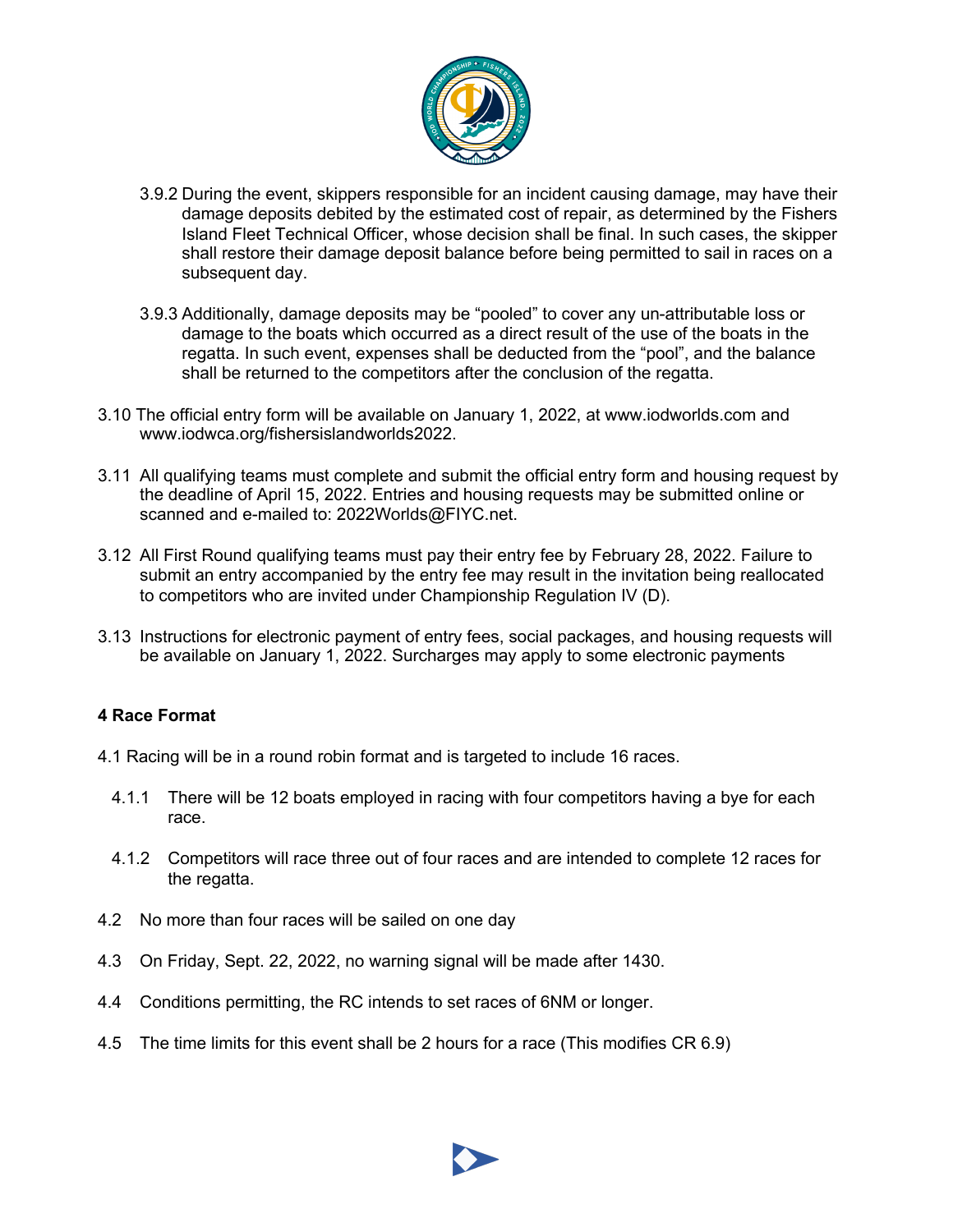

- 3.9.2 During the event, skippers responsible for an incident causing damage, may have their damage deposits debited by the estimated cost of repair, as determined by the Fishers Island Fleet Technical Officer, whose decision shall be final. In such cases, the skipper shall restore their damage deposit balance before being permitted to sail in races on a subsequent day.
- 3.9.3 Additionally, damage deposits may be "pooled" to cover any un-attributable loss or damage to the boats which occurred as a direct result of the use of the boats in the regatta. In such event, expenses shall be deducted from the "pool", and the balance shall be returned to the competitors after the conclusion of the regatta.
- 3.10 The official entry form will be available on January 1, 2022, at www.iodworlds.com and www.iodwca.org/fishersislandworlds2022.
- 3.11 All qualifying teams must complete and submit the official entry form and housing request by the deadline of April 15, 2022. Entries and housing requests may be submitted online or scanned and e-mailed to: 2022Worlds@FIYC.net.
- 3.12 All First Round qualifying teams must pay their entry fee by February 28, 2022. Failure to submit an entry accompanied by the entry fee may result in the invitation being reallocated to competitors who are invited under Championship Regulation IV (D).
- 3.13 Instructions for electronic payment of entry fees, social packages, and housing requests will be available on January 1, 2022. Surcharges may apply to some electronic payments

#### **4 Race Format**

- 4.1 Racing will be in a round robin format and is targeted to include 16 races.
	- 4.1.1 There will be 12 boats employed in racing with four competitors having a bye for each race.
	- 4.1.2 Competitors will race three out of four races and are intended to complete 12 races for the regatta.
- 4.2 No more than four races will be sailed on one day
- 4.3 On Friday, Sept. 22, 2022, no warning signal will be made after 1430.
- 4.4 Conditions permitting, the RC intends to set races of 6NM or longer.
- 4.5 The time limits for this event shall be 2 hours for a race (This modifies CR 6.9)

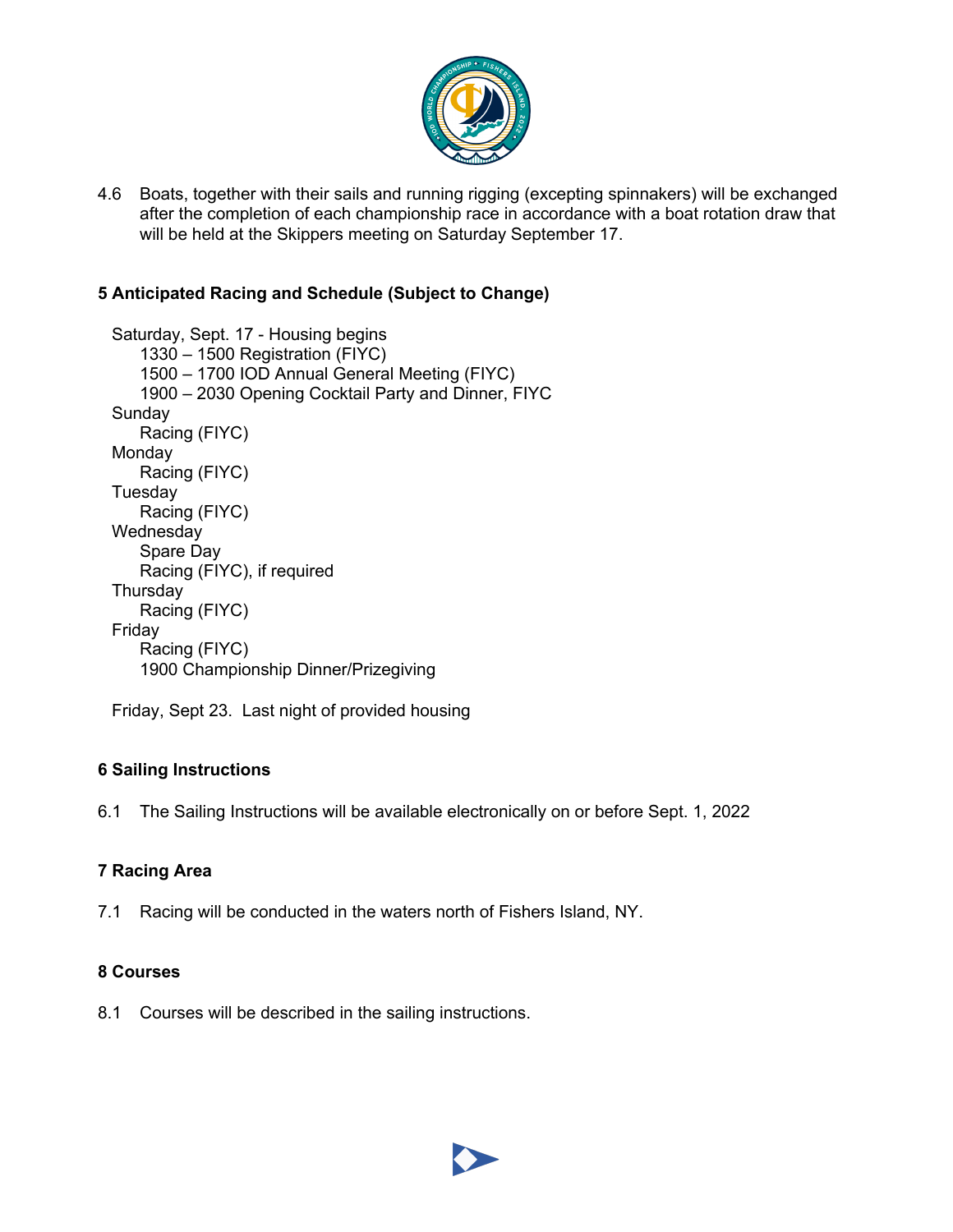

4.6 Boats, together with their sails and running rigging (excepting spinnakers) will be exchanged after the completion of each championship race in accordance with a boat rotation draw that will be held at the Skippers meeting on Saturday September 17.

# **5 Anticipated Racing and Schedule (Subject to Change)**

```
Saturday, Sept. 17 - Housing begins
   1330 – 1500 Registration (FIYC)
   1500 – 1700 IOD Annual General Meeting (FIYC)
   1900 – 2030 Opening Cocktail Party and Dinner, FIYC
Sunday
   Racing (FIYC)
Monday
   Racing (FIYC)
Tuesday
   Racing (FIYC)
Wednesday
   Spare Day
   Racing (FIYC), if required
Thursday
   Racing (FIYC)
Friday
   Racing (FIYC)
   1900 Championship Dinner/Prizegiving
```
Friday, Sept 23. Last night of provided housing

# **6 Sailing Instructions**

6.1 The Sailing Instructions will be available electronically on or before Sept. 1, 2022

# **7 Racing Area**

7.1 Racing will be conducted in the waters north of Fishers Island, NY.

# **8 Courses**

8.1 Courses will be described in the sailing instructions.

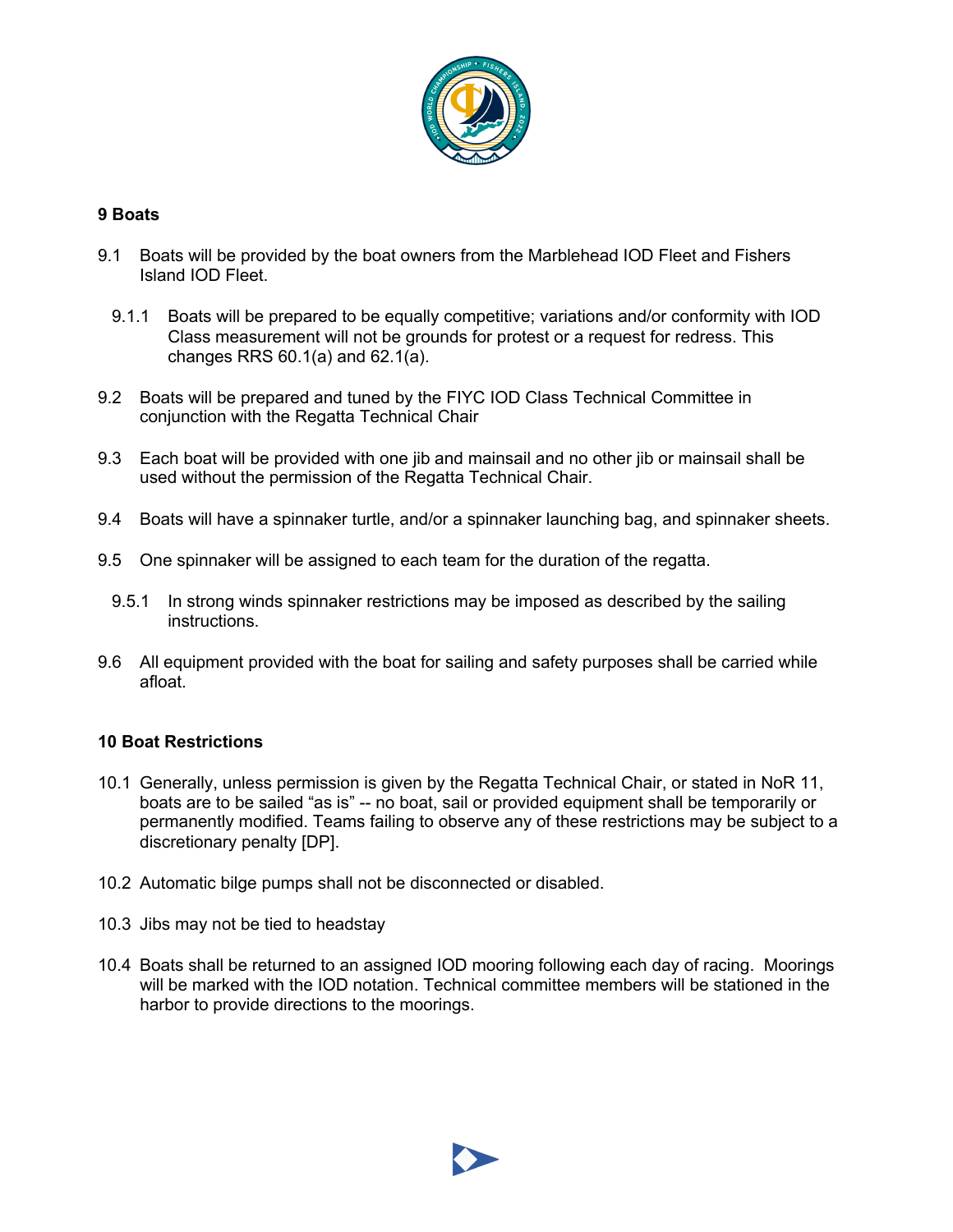

#### **9 Boats**

- 9.1 Boats will be provided by the boat owners from the Marblehead IOD Fleet and Fishers Island IOD Fleet.
	- 9.1.1 Boats will be prepared to be equally competitive; variations and/or conformity with IOD Class measurement will not be grounds for protest or a request for redress. This changes RRS 60.1(a) and 62.1(a).
- 9.2 Boats will be prepared and tuned by the FIYC IOD Class Technical Committee in conjunction with the Regatta Technical Chair
- 9.3 Each boat will be provided with one jib and mainsail and no other jib or mainsail shall be used without the permission of the Regatta Technical Chair.
- 9.4 Boats will have a spinnaker turtle, and/or a spinnaker launching bag, and spinnaker sheets.
- 9.5 One spinnaker will be assigned to each team for the duration of the regatta.
	- 9.5.1 In strong winds spinnaker restrictions may be imposed as described by the sailing instructions.
- 9.6 All equipment provided with the boat for sailing and safety purposes shall be carried while afloat.

#### **10 Boat Restrictions**

- 10.1 Generally, unless permission is given by the Regatta Technical Chair, or stated in NoR 11, boats are to be sailed "as is" -- no boat, sail or provided equipment shall be temporarily or permanently modified. Teams failing to observe any of these restrictions may be subject to a discretionary penalty [DP].
- 10.2 Automatic bilge pumps shall not be disconnected or disabled.
- 10.3 Jibs may not be tied to headstay
- 10.4 Boats shall be returned to an assigned IOD mooring following each day of racing. Moorings will be marked with the IOD notation. Technical committee members will be stationed in the harbor to provide directions to the moorings.

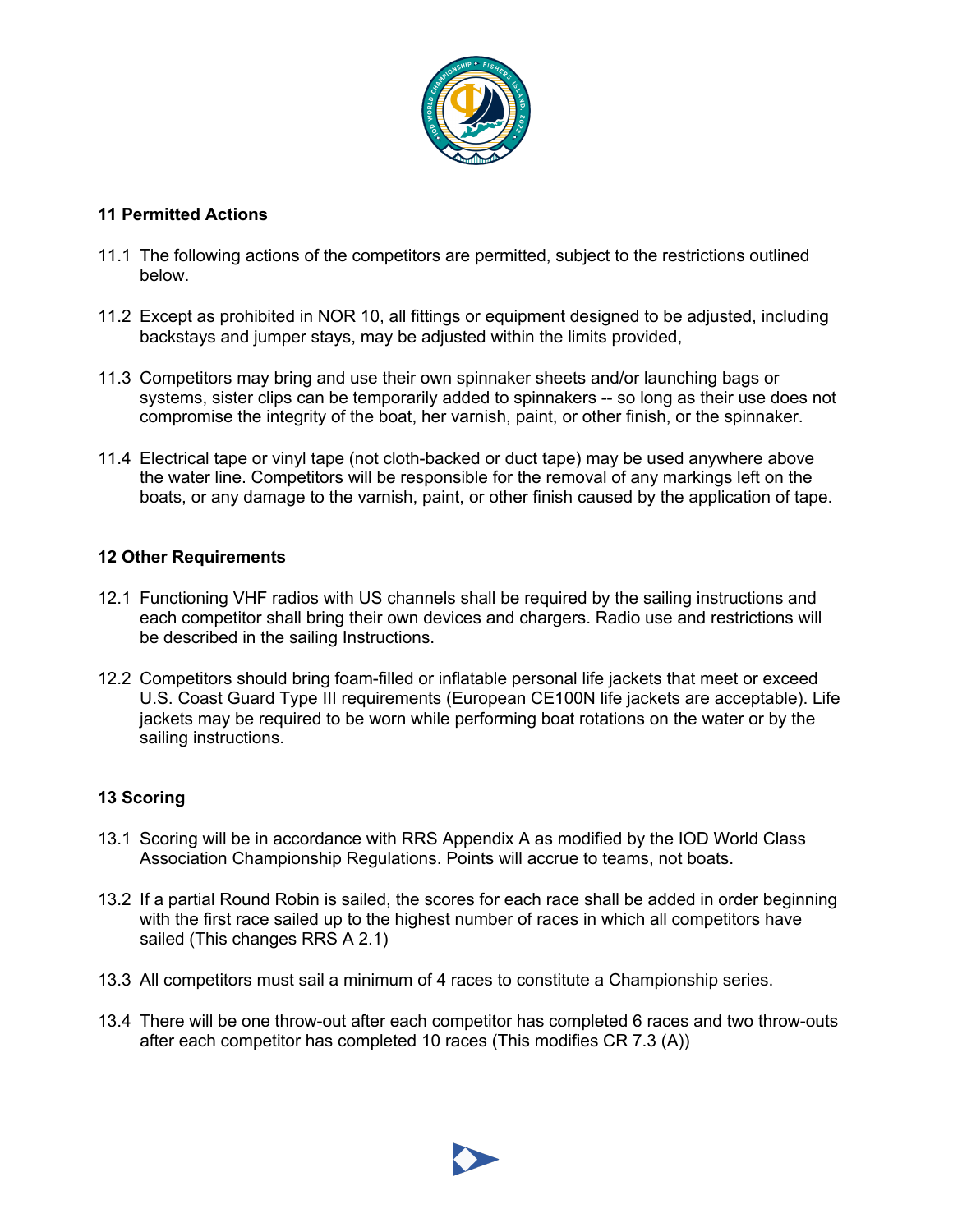

#### **11 Permitted Actions**

- 11.1 The following actions of the competitors are permitted, subject to the restrictions outlined below.
- 11.2 Except as prohibited in NOR 10, all fittings or equipment designed to be adjusted, including backstays and jumper stays, may be adjusted within the limits provided,
- 11.3 Competitors may bring and use their own spinnaker sheets and/or launching bags or systems, sister clips can be temporarily added to spinnakers -- so long as their use does not compromise the integrity of the boat, her varnish, paint, or other finish, or the spinnaker.
- 11.4 Electrical tape or vinyl tape (not cloth-backed or duct tape) may be used anywhere above the water line. Competitors will be responsible for the removal of any markings left on the boats, or any damage to the varnish, paint, or other finish caused by the application of tape.

#### **12 Other Requirements**

- 12.1 Functioning VHF radios with US channels shall be required by the sailing instructions and each competitor shall bring their own devices and chargers. Radio use and restrictions will be described in the sailing Instructions.
- 12.2 Competitors should bring foam-filled or inflatable personal life jackets that meet or exceed U.S. Coast Guard Type III requirements (European CE100N life jackets are acceptable). Life jackets may be required to be worn while performing boat rotations on the water or by the sailing instructions.

#### **13 Scoring**

- 13.1 Scoring will be in accordance with RRS Appendix A as modified by the IOD World Class Association Championship Regulations. Points will accrue to teams, not boats.
- 13.2 If a partial Round Robin is sailed, the scores for each race shall be added in order beginning with the first race sailed up to the highest number of races in which all competitors have sailed (This changes RRS A 2.1)
- 13.3 All competitors must sail a minimum of 4 races to constitute a Championship series.
- 13.4 There will be one throw-out after each competitor has completed 6 races and two throw-outs after each competitor has completed 10 races (This modifies CR 7.3 (A))

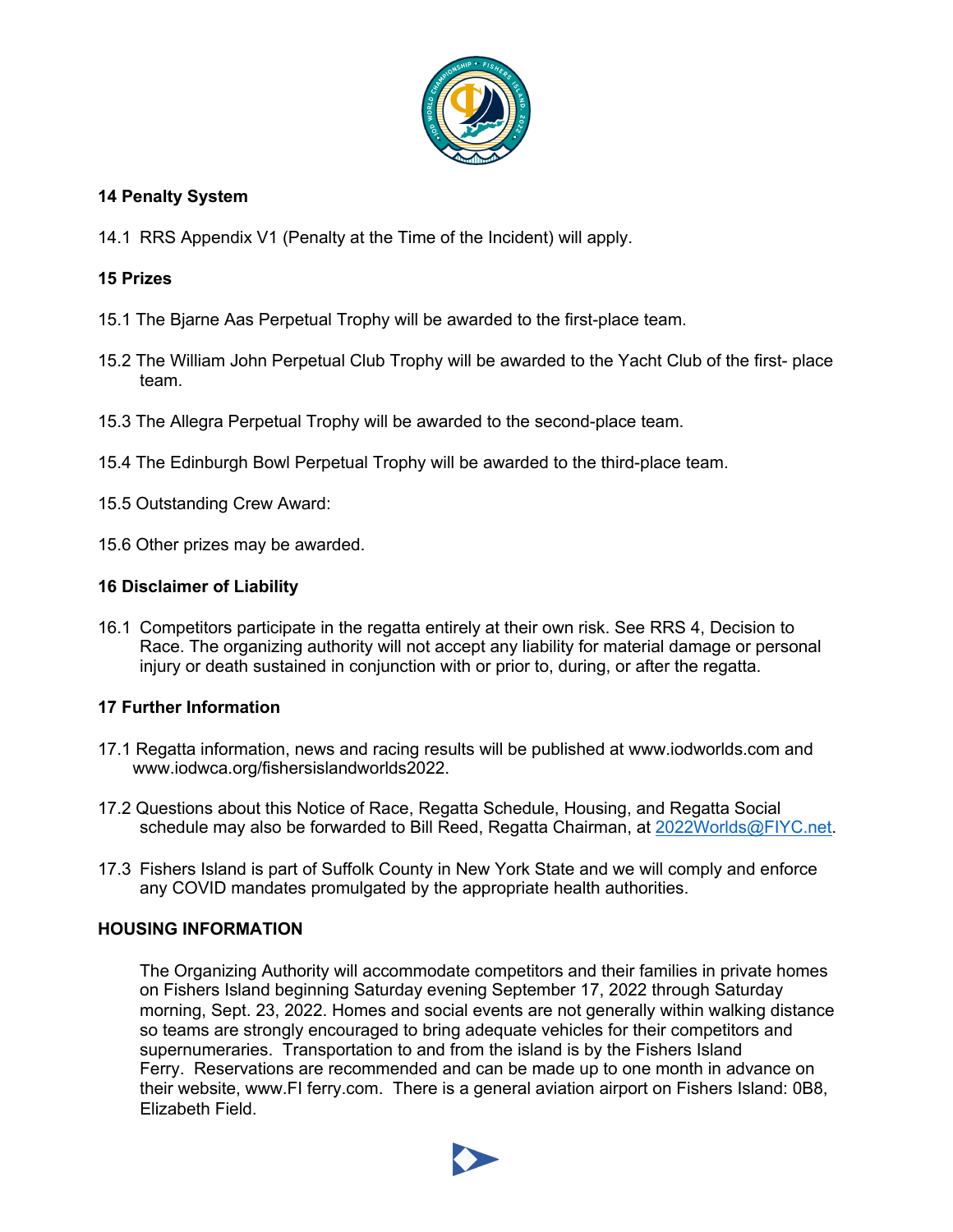

#### **14 Penalty System**

14.1 RRS Appendix V1 (Penalty at the Time of the Incident) will apply.

#### **15 Prizes**

- 15.1 The Bjarne Aas Perpetual Trophy will be awarded to the first-place team.
- 15.2 The William John Perpetual Club Trophy will be awarded to the Yacht Club of the first- place team.
- 15.3 The Allegra Perpetual Trophy will be awarded to the second-place team.
- 15.4 The Edinburgh Bowl Perpetual Trophy will be awarded to the third-place team.
- 15.5 Outstanding Crew Award:
- 15.6 Other prizes may be awarded.

#### **16 Disclaimer of Liability**

16.1 Competitors participate in the regatta entirely at their own risk. See RRS 4, Decision to Race. The organizing authority will not accept any liability for material damage or personal injury or death sustained in conjunction with or prior to, during, or after the regatta.

# **17 Further Information**

- 17.1 Regatta information, news and racing results will be published at www.iodworlds.com and www.iodwca.org/fishersislandworlds2022.
- 17.2 Questions about this Notice of Race, Regatta Schedule, Housing, and Regatta Social schedule may also be forwarded to Bill Reed, Regatta Chairman, at 2022Worlds@FIYC.net.
- 17.3 Fishers Island is part of Suffolk County in New York State and we will comply and enforce any COVID mandates promulgated by the appropriate health authorities.

#### **HOUSING INFORMATION**

The Organizing Authority will accommodate competitors and their families in private homes on Fishers Island beginning Saturday evening September 17, 2022 through Saturday morning, Sept. 23, 2022. Homes and social events are not generally within walking distance so teams are strongly encouraged to bring adequate vehicles for their competitors and supernumeraries. Transportation to and from the island is by the Fishers Island Ferry. Reservations are recommended and can be made up to one month in advance on their website, www.FI ferry.com. There is a general aviation airport on Fishers Island: 0B8, Elizabeth Field.